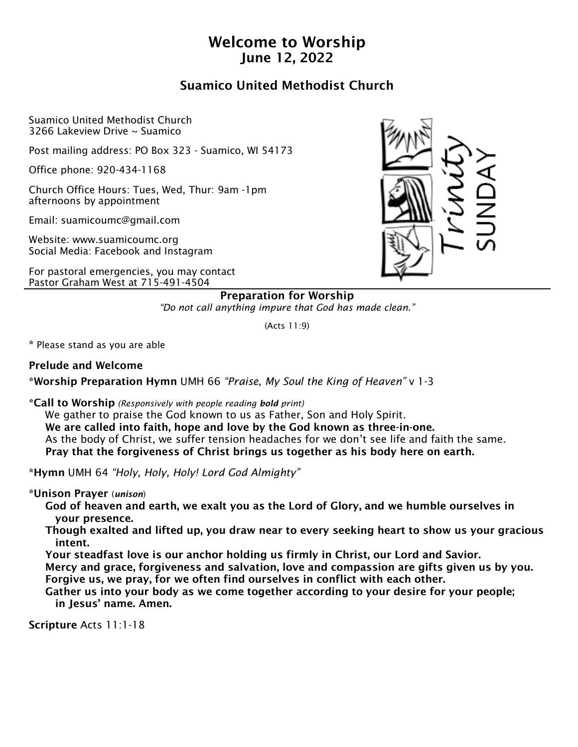# Welcome to Worship June 12, 2022

# Suamico United Methodist Church

Suamico United Methodist Church 3266 Lakeview Drive ~ Suamico

Post mailing address: PO Box 323 - Suamico, WI 54173

Office phone: 920-434-1168

Church Office Hours: Tues, Wed, Thur: 9am -1pm afternoons by appointment

Email: suamicoumc@gmail.com

Website: www.suamicoumc.org Social Media: Facebook and Instagram

For pastoral emergencies, you may contact Pastor Graham West at 715-491-4504



Preparation for Worship *"Do not call anything impure that God has made clean."*

(Acts 11:9)

\* Please stand as you are able

Prelude and Welcome

\*Worship Preparation Hymn UMH 66 *"Praise, My Soul the King of Heaven"* v 1-3

\*Call to Worship *(Responsively with people reading bold print)*

 We gather to praise the God known to us as Father, Son and Holy Spirit. We are called into faith, hope and love by the God known as three-in-one. As the body of Christ, we suffer tension headaches for we don't see life and faith the same. Pray that the forgiveness of Christ brings us together as his body here on earth.

\*Hymn UMH 64 *"Holy, Holy, Holy! Lord God Almighty"* 

\*Unison Prayer (*unison*)

 God of heaven and earth, we exalt you as the Lord of Glory, and we humble ourselves in your presence.

 Though exalted and lifted up, you draw near to every seeking heart to show us your gracious intent.

 Your steadfast love is our anchor holding us firmly in Christ, our Lord and Savior. Mercy and grace, forgiveness and salvation, love and compassion are gifts given us by you. Forgive us, we pray, for we often find ourselves in conflict with each other.

 Gather us into your body as we come together according to your desire for your people; in Jesus' name. Amen.

Scripture Acts 11:1-18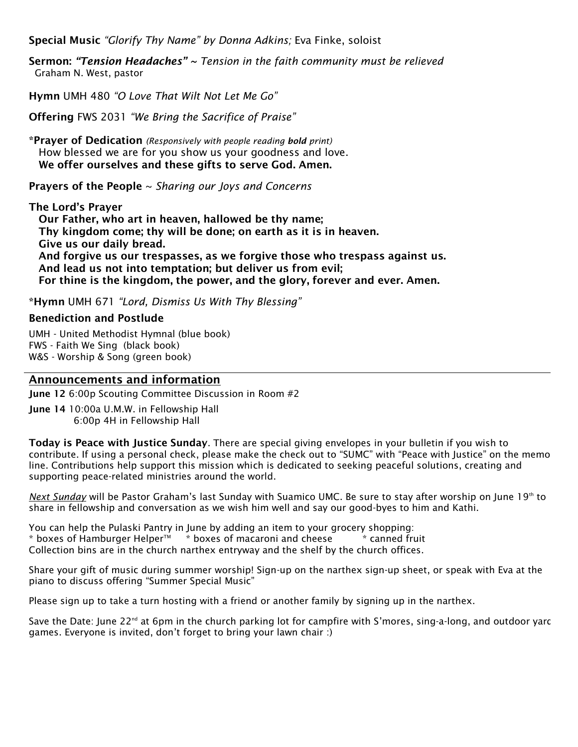Special Music *"Glorify Thy Name" by Donna Adkins;* Eva Finke, soloist

Sermon: *"Tension Headaches" ~ Tension in the faith community must be relieved*  Graham N. West, pastor

Hymn UMH 480 *"O Love That Wilt Not Let Me Go"*

Offering FWS 2031 *"We Bring the Sacrifice of Praise"* 

\*Prayer of Dedication *(Responsively with people reading bold print)* How blessed we are for you show us your goodness and love. We offer ourselves and these gifts to serve God. Amen.

Prayers of the People ~ *Sharing our Joys and Concerns*

The Lord's Prayer Our Father, who art in heaven, hallowed be thy name; Thy kingdom come; thy will be done; on earth as it is in heaven. Give us our daily bread. And forgive us our trespasses, as we forgive those who trespass against us. And lead us not into temptation; but deliver us from evil; For thine is the kingdom, the power, and the glory, forever and ever. Amen.

\*Hymn UMH 671 *"Lord, Dismiss Us With Thy Blessing"* 

#### Benediction and Postlude

UMH - United Methodist Hymnal (blue book) FWS - Faith We Sing (black book) W&S - Worship & Song (green book)

#### Announcements and information

June 12 6:00p Scouting Committee Discussion in Room #2

June 14 10:00a U.M.W. in Fellowship Hall 6:00p 4H in Fellowship Hall

Today is Peace with Justice Sunday. There are special giving envelopes in your bulletin if you wish to contribute. If using a personal check, please make the check out to "SUMC" with "Peace with Justice" on the memo line. Contributions help support this mission which is dedicated to seeking peaceful solutions, creating and supporting peace-related ministries around the world.

*Next Sunday* will be Pastor Graham's last Sunday with Suamico UMC. Be sure to stay after worship on June 19th to share in fellowship and conversation as we wish him well and say our good-byes to him and Kathi.

You can help the Pulaski Pantry in June by adding an item to your grocery shopping:  $*$  boxes of Hamburger Helper $M_{\odot}$   $*$  boxes of macaroni and cheese  $*$  canned fruit Collection bins are in the church narthex entryway and the shelf by the church offices.

Share your gift of music during summer worship! Sign-up on the narthex sign-up sheet, or speak with Eva at the piano to discuss offering "Summer Special Music"

Please sign up to take a turn hosting with a friend or another family by signing up in the narthex.

Save the Date: June 22<sup>nd</sup> at 6pm in the church parking lot for campfire with S'mores, sing-a-long, and outdoor yarc games. Everyone is invited, don't forget to bring your lawn chair :)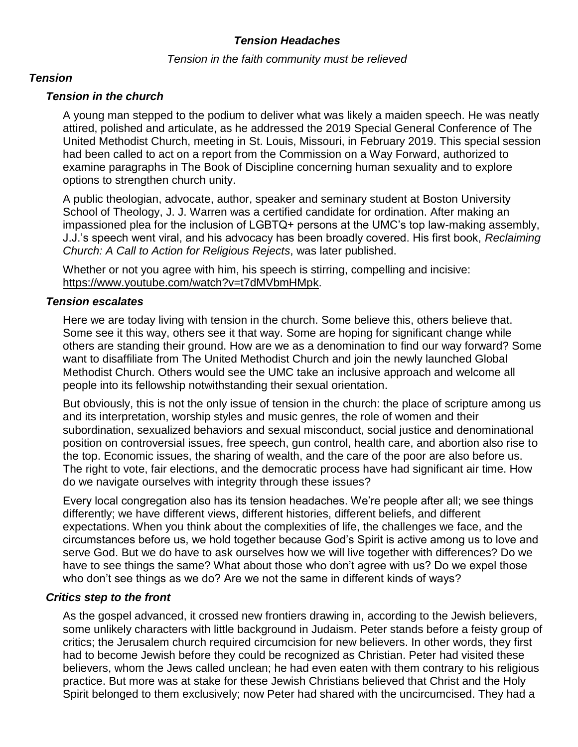## *Tension Headaches*

#### *Tension in the faith community must be relieved*

### *Tension*

## *Tension in the church*

A young man stepped to the podium to deliver what was likely a maiden speech. He was neatly attired, polished and articulate, as he addressed the 2019 Special General Conference of The United Methodist Church, meeting in St. Louis, Missouri, in February 2019. This special session had been called to act on a report from the Commission on a Way Forward, authorized to examine paragraphs in The Book of Discipline concerning human sexuality and to explore options to strengthen church unity.

A public theologian, advocate, author, speaker and seminary student at Boston University School of Theology, J. J. Warren was a certified candidate for ordination. After making an impassioned plea for the inclusion of LGBTQ+ persons at the UMC's top law-making assembly, J.J.'s speech went viral, and his advocacy has been broadly covered. His first book, *Reclaiming Church: A Call to Action for Religious Rejects*, was later published.

Whether or not you agree with him, his speech is stirring, compelling and incisive: https://www.youtube.com/watch?v=t7dMVbmHMpk.

### *Tension escalates*

Here we are today living with tension in the church. Some believe this, others believe that. Some see it this way, others see it that way. Some are hoping for significant change while others are standing their ground. How are we as a denomination to find our way forward? Some want to disaffiliate from The United Methodist Church and join the newly launched Global Methodist Church. Others would see the UMC take an inclusive approach and welcome all people into its fellowship notwithstanding their sexual orientation.

But obviously, this is not the only issue of tension in the church: the place of scripture among us and its interpretation, worship styles and music genres, the role of women and their subordination, sexualized behaviors and sexual misconduct, social justice and denominational position on controversial issues, free speech, gun control, health care, and abortion also rise to the top. Economic issues, the sharing of wealth, and the care of the poor are also before us. The right to vote, fair elections, and the democratic process have had significant air time. How do we navigate ourselves with integrity through these issues?

Every local congregation also has its tension headaches. We're people after all; we see things differently; we have different views, different histories, different beliefs, and different expectations. When you think about the complexities of life, the challenges we face, and the circumstances before us, we hold together because God's Spirit is active among us to love and serve God. But we do have to ask ourselves how we will live together with differences? Do we have to see things the same? What about those who don't agree with us? Do we expel those who don't see things as we do? Are we not the same in different kinds of ways?

### *Critics step to the front*

As the gospel advanced, it crossed new frontiers drawing in, according to the Jewish believers, some unlikely characters with little background in Judaism. Peter stands before a feisty group of critics; the Jerusalem church required circumcision for new believers. In other words, they first had to become Jewish before they could be recognized as Christian. Peter had visited these believers, whom the Jews called unclean; he had even eaten with them contrary to his religious practice. But more was at stake for these Jewish Christians believed that Christ and the Holy Spirit belonged to them exclusively; now Peter had shared with the uncircumcised. They had a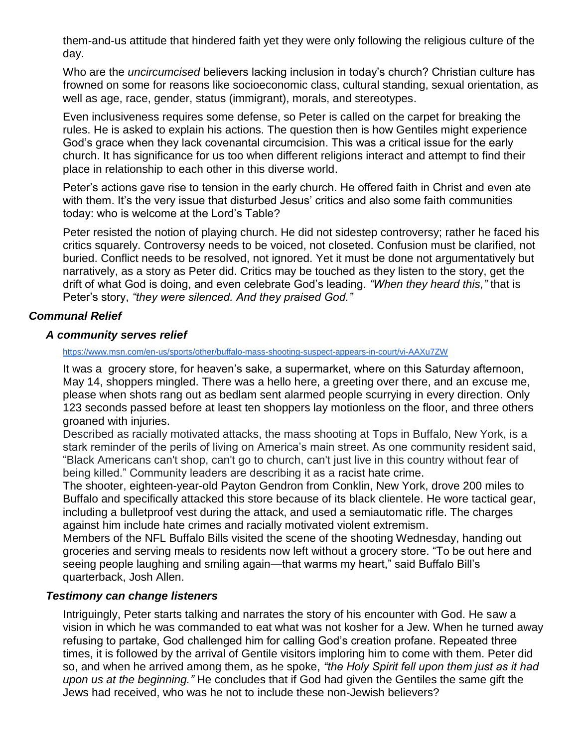them-and-us attitude that hindered faith yet they were only following the religious culture of the day.

Who are the *uncircumcised* believers lacking inclusion in today's church? Christian culture has frowned on some for reasons like socioeconomic class, cultural standing, sexual orientation, as well as age, race, gender, status (immigrant), morals, and stereotypes.

Even inclusiveness requires some defense, so Peter is called on the carpet for breaking the rules. He is asked to explain his actions. The question then is how Gentiles might experience God's grace when they lack covenantal circumcision. This was a critical issue for the early church. It has significance for us too when different religions interact and attempt to find their place in relationship to each other in this diverse world.

Peter's actions gave rise to tension in the early church. He offered faith in Christ and even ate with them. It's the very issue that disturbed Jesus' critics and also some faith communities today: who is welcome at the Lord's Table?

Peter resisted the notion of playing church. He did not sidestep controversy; rather he faced his critics squarely. Controversy needs to be voiced, not closeted. Confusion must be clarified, not buried. Conflict needs to be resolved, not ignored. Yet it must be done not argumentatively but narratively, as a story as Peter did. Critics may be touched as they listen to the story, get the drift of what God is doing, and even celebrate God's leading. *"When they heard this,"* that is Peter's story, *"they were silenced. And they praised God."*

## *Communal Relief*

### *A community serves relief*

#### <https://www.msn.com/en-us/sports/other/buffalo-mass-shooting-suspect-appears-in-court/vi-AAXu7ZW>

It was a grocery store, for heaven's sake, a supermarket, where on this Saturday afternoon, May 14, shoppers mingled. There was a hello here, a greeting over there, and an excuse me, please when shots rang out as bedlam sent alarmed people scurrying in every direction. Only 123 seconds passed before at least ten shoppers lay motionless on the floor, and three others groaned with injuries.

Described as racially motivated attacks, the mass shooting at Tops in Buffalo, New York, is a stark reminder of the perils of living on America's main street. As one community resident said, "Black Americans can't shop, can't go to church, can't just live in this country without fear of being killed." Community leaders are describing it as a racist hate crime.

The shooter, eighteen-year-old Payton Gendron from Conklin, New York, drove 200 miles to Buffalo and specifically attacked this store because of its black clientele. He wore tactical gear, including a bulletproof vest during the attack, and used a semiautomatic rifle. The charges against him include hate crimes and racially motivated violent extremism.

Members of the NFL Buffalo Bills visited the scene of the shooting Wednesday, handing out groceries and serving meals to residents now left without a grocery store. "To be out here and seeing people laughing and smiling again—that warms my heart," said Buffalo Bill's quarterback, Josh Allen.

### *Testimony can change listeners*

Intriguingly, Peter starts talking and narrates the story of his encounter with God. He saw a vision in which he was commanded to eat what was not kosher for a Jew. When he turned away refusing to partake, God challenged him for calling God's creation profane. Repeated three times, it is followed by the arrival of Gentile visitors imploring him to come with them. Peter did so, and when he arrived among them, as he spoke, *"the Holy Spirit fell upon them just as it had upon us at the beginning."* He concludes that if God had given the Gentiles the same gift the Jews had received, who was he not to include these non-Jewish believers?